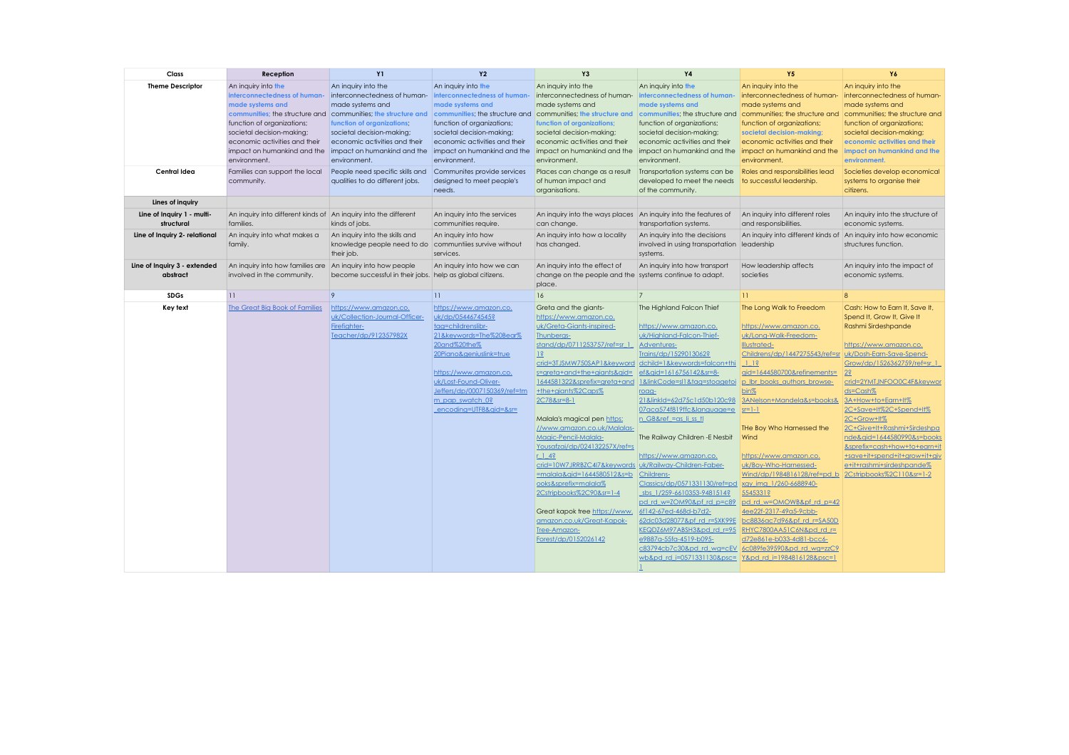| Class                                    | Reception                                                                                                                                                                                                          | <b>Y1</b>                                                                                                                                                                                                                                                                                                                                                                  | <b>Y2</b>                                                                                                                                                                                                                                                               | Y3                                                                                                                                                                                                                                                                                                                                                                                                                                                                                                                                                                                                                                                                                                       | <b>Y4</b>                                                                                                                                                                                                                                                                                                                                                                                                                                                                                                                                                                                                                                                                                  | <b>Y5</b>                                                                                                                                                                                                                                                                                                                                                                                                                                                                                                                                                                                      | Y6                                                                                                                                                                                                                                                                                                                                                                                                                                                            |
|------------------------------------------|--------------------------------------------------------------------------------------------------------------------------------------------------------------------------------------------------------------------|----------------------------------------------------------------------------------------------------------------------------------------------------------------------------------------------------------------------------------------------------------------------------------------------------------------------------------------------------------------------------|-------------------------------------------------------------------------------------------------------------------------------------------------------------------------------------------------------------------------------------------------------------------------|----------------------------------------------------------------------------------------------------------------------------------------------------------------------------------------------------------------------------------------------------------------------------------------------------------------------------------------------------------------------------------------------------------------------------------------------------------------------------------------------------------------------------------------------------------------------------------------------------------------------------------------------------------------------------------------------------------|--------------------------------------------------------------------------------------------------------------------------------------------------------------------------------------------------------------------------------------------------------------------------------------------------------------------------------------------------------------------------------------------------------------------------------------------------------------------------------------------------------------------------------------------------------------------------------------------------------------------------------------------------------------------------------------------|------------------------------------------------------------------------------------------------------------------------------------------------------------------------------------------------------------------------------------------------------------------------------------------------------------------------------------------------------------------------------------------------------------------------------------------------------------------------------------------------------------------------------------------------------------------------------------------------|---------------------------------------------------------------------------------------------------------------------------------------------------------------------------------------------------------------------------------------------------------------------------------------------------------------------------------------------------------------------------------------------------------------------------------------------------------------|
| <b>Theme Descriptor</b>                  | An inquiry into the<br>interconnectedness of human-<br>made systems and<br>function of organizations;<br>societal decision-making;<br>economic activities and their<br>impact on humankind and the<br>environment. | An inquiry into the<br>interconnectedness of human interconnectedness of human-<br>made systems and<br>communities; the structure and communities; the structure and communities; the structure and<br>function of organizations.<br>societal decision-making;<br>economic activities and their<br>impact on humankind and the impact on humankind and the<br>environment. | An inquiry into the<br>made systems and<br>function of organizations;<br>societal decision-making;<br>economic activities and their<br>environment.                                                                                                                     | An inquiry into the<br>interconnectedness of human-<br>made systems and<br>communities; the structure and<br>function of organizations;<br>societal decision-making;<br>economic activities and their<br>impact on humankind and the<br>environment.                                                                                                                                                                                                                                                                                                                                                                                                                                                     | An inquiry into the<br>interconnectedness of human-<br>made systems and<br>communities; the structure and<br>function of organizations;<br>societal decision-making;<br>economic activities and their<br>impact on humankind and the<br>environment.                                                                                                                                                                                                                                                                                                                                                                                                                                       | An inquiry into the<br>interconnectedness of human-<br>made systems and<br>communities; the structure and<br>function of organizations;<br>societal decision-making;<br>economic activities and their<br>impact on humankind and the<br>environment.                                                                                                                                                                                                                                                                                                                                           | An inquiry into the<br>interconnectedness of human-<br>made systems and<br>communities; the structure and<br>function of organizations;<br>societal decision-making;<br>economic activities and their<br>impact on humankind and the<br>environment.                                                                                                                                                                                                          |
| Central Idea                             | Families can support the local<br>community.                                                                                                                                                                       | People need specific skills and<br>qualities to do different jobs.                                                                                                                                                                                                                                                                                                         | Communites provide services<br>designed to meet people's<br>needs.                                                                                                                                                                                                      | Places can change as a result<br>of human impact and<br>organisations.                                                                                                                                                                                                                                                                                                                                                                                                                                                                                                                                                                                                                                   | Transportation systems can be<br>developed to meet the needs<br>of the community.                                                                                                                                                                                                                                                                                                                                                                                                                                                                                                                                                                                                          | Roles and responsibilities lead<br>to successful leadership.                                                                                                                                                                                                                                                                                                                                                                                                                                                                                                                                   | Societies develop economical<br>systems to organise their<br>citizens.                                                                                                                                                                                                                                                                                                                                                                                        |
| Lines of inquiry                         |                                                                                                                                                                                                                    |                                                                                                                                                                                                                                                                                                                                                                            |                                                                                                                                                                                                                                                                         |                                                                                                                                                                                                                                                                                                                                                                                                                                                                                                                                                                                                                                                                                                          |                                                                                                                                                                                                                                                                                                                                                                                                                                                                                                                                                                                                                                                                                            |                                                                                                                                                                                                                                                                                                                                                                                                                                                                                                                                                                                                |                                                                                                                                                                                                                                                                                                                                                                                                                                                               |
| Line of Inquiry 1 - multi-<br>structural | An inquiry into different kinds of An inquiry into the different<br>families.                                                                                                                                      | kinds of jobs.                                                                                                                                                                                                                                                                                                                                                             | An inquiry into the services<br>communities require.                                                                                                                                                                                                                    | An inquiry into the ways places An inquiry into the features of<br>can change.                                                                                                                                                                                                                                                                                                                                                                                                                                                                                                                                                                                                                           | transportation systems.                                                                                                                                                                                                                                                                                                                                                                                                                                                                                                                                                                                                                                                                    | An inquiry into different roles<br>and responsibilities.                                                                                                                                                                                                                                                                                                                                                                                                                                                                                                                                       | An inquiry into the structure of<br>economic systems.                                                                                                                                                                                                                                                                                                                                                                                                         |
| Line of Inquiry 2- relational            | An inquiry into what makes a<br>family.                                                                                                                                                                            | An inquiry into the skills and<br>knowledge people need to do<br>their job.                                                                                                                                                                                                                                                                                                | An inquiry into how<br>communtiles survive without<br>services.                                                                                                                                                                                                         | An inquiry into how a locality<br>has changed.                                                                                                                                                                                                                                                                                                                                                                                                                                                                                                                                                                                                                                                           | An inquiry into the decisions<br>involved in using transportation leadership<br>systems.                                                                                                                                                                                                                                                                                                                                                                                                                                                                                                                                                                                                   | An inquiry into different kinds of An inquiry into how economic                                                                                                                                                                                                                                                                                                                                                                                                                                                                                                                                | structures function.                                                                                                                                                                                                                                                                                                                                                                                                                                          |
| Line of Inquiry 3 - extended<br>abstract | An inquiry into how families are An inquiry into how people<br>involved in the community.                                                                                                                          | become successful in their jobs. help as global citizens.                                                                                                                                                                                                                                                                                                                  | An inquiry into how we can                                                                                                                                                                                                                                              | An inquiry into the effect of<br>change on the people and the systems continue to adapt.<br>place.                                                                                                                                                                                                                                                                                                                                                                                                                                                                                                                                                                                                       | An inquiry into how transport                                                                                                                                                                                                                                                                                                                                                                                                                                                                                                                                                                                                                                                              | How leadership affects<br>societies                                                                                                                                                                                                                                                                                                                                                                                                                                                                                                                                                            | An inquiry into the impact of<br>economic systems.                                                                                                                                                                                                                                                                                                                                                                                                            |
| <b>SDGs</b>                              | $\overline{11}$                                                                                                                                                                                                    | $\overline{9}$                                                                                                                                                                                                                                                                                                                                                             | $\overline{11}$                                                                                                                                                                                                                                                         | 16                                                                                                                                                                                                                                                                                                                                                                                                                                                                                                                                                                                                                                                                                                       | $\overline{7}$                                                                                                                                                                                                                                                                                                                                                                                                                                                                                                                                                                                                                                                                             | $\overline{11}$                                                                                                                                                                                                                                                                                                                                                                                                                                                                                                                                                                                | $\overline{8}$                                                                                                                                                                                                                                                                                                                                                                                                                                                |
| Key text                                 | The Great Big Book of Families                                                                                                                                                                                     | https://www.amazon.co.<br>uk/Collection-Journal-Officer-<br>Firefighter-<br>Teacher/dp/912357982X                                                                                                                                                                                                                                                                          | https://www.amazon.co.<br>uk/dp/0544674545?<br>tag=childrenslibr-<br>21&keywords=The%20Bear%<br>20and%20the%<br>20Piano&geniuslink=true<br>https://www.amazon.co.<br>uk/Lost-Found-Oliver-<br>Jeffers/dp/0007150369/ref=tm<br>m pap swatch 0?<br>encoding=UTF8&gid=&sr= | Greta and the giants-<br>https://www.amazon.co.<br>uk/Greta-Giants-inspired-<br><b>Ihunberas-</b><br>stand/dp/0711253757/ref=sr 1<br>$ 1\hat{s} $<br>crid=3TJSMW750SAP1&keyword dchild=1&keywords=falcon+thi<br>s=greta+and+the+giants&gid=<br>1644581322&sprefix=areta+and<br>+the+giants%2Caps%<br>2C78&sr=8-1<br>Malala's magical pen https:<br>//www.amazon.co.uk/Malalas-<br>Magic-Pencil-Malala-<br>Yousafzai/dp/024132257X/ref=s<br>$r$ 1 4?<br>crid=10W7JRRBZC4I7&keywords uk/Railway-Children-Faber-<br>$=$ malala&gid=1644580512&s=b<br>ooks&sprefix=malala%<br>2Cstripbooks%2C90&sr=1-4<br>Great kapok tree https://www.<br>amazon.co.uk/Great-Kapok-<br>Tree-Amazon-<br>Forest/dp/0152026142 | The Highland Falcon Thief<br>https://www.amazon.co.<br>uk/Highland-Falcon-Thief-<br>Adventures-<br>Trains/dp/1529013062?<br>ef&gid=1616756142&sr=8-<br>1&linkCode=sl1&taa=stoaaetoi<br>roag-<br>21&linkId=62d75c1d50b120c98<br>07aca574f819ffc&language=e<br>n GB&ref = as li ss fl<br>The Railway Children - E Nesbit<br>https://www.amazon.co.<br>Childrens-<br>Classics/dp/0571331130/ref=pd<br>sbs 1/259-6610353-9481514?<br>pd rd w=ZOM90&pf rd p=c89<br>6f142-67ed-468d-b7d2-<br>62dc03d28077&pf rd r=SXK99E<br>KEQDZ6M97ABSH3&pd rd r=95<br>e9887a-55fa-4519-b095-<br>c83794cb7c30&pd rd wa=cEV 6c089fe39590&pd rd wa=zzC9<br>wb&pd rd i=0571331130&psc= Y&pd rd i=1984816128&psc=1 | The Long Walk to Freedom<br>https://www.amazon.co.<br>uk/Long-Walk-Freedom-<br><b>Illustrated-</b><br>Childrens/dp/1447275543/ref=sr   uk/Dosh-Earn-Save-Spend-<br>115<br>qid=1644580700&refinements=<br>p Ibr books authors browse-<br>bin%<br>3ANelson+Mandela&s=books&<br>$sr=1-1$<br>THe Boy Who Harnessed the<br>Wind<br>https://www.amazon.co.<br>uk/Bov-Who-Harnessed-<br>Wind/dp/1984816128/ref=pd b<br>xay ima 1/260-6688940-<br>5545331?<br>pd rd w=OMOWB&pf rd p=42<br>4ee22f-2317-49a5-9cbb-<br>bc8836ac7d96&pf rd r=SA50D<br>RHYC7800AA51C6N&pd rd r=<br>d72e861e-b033-4d81-bcc6- | Cash: How to Earn It, Save It,<br>Spend It, Grow It, Give It<br>Rashmi Sirdeshpande<br>https://www.amazon.co.<br>Grow/dp/1526362759/ref=sr 1<br>$ 2\hat{s} $<br>crid=2YMTJNFOO0C4F&keywor<br>ds=Cash%<br>3A+How+to+Earn+It%<br>2C+Save+It%2C+Spend+It%<br>2C+Grow+It%<br>2C+Give+It+Rashmi+Sirdeshpa<br>nde&gid=1644580990&s=books<br>&sprefix=cash+how+to+earn+it<br>+save+it+spend+it+grow+it+giv<br>e+it+rashmi+sirdeshpande%<br>2Cstripbooks%2C110&sr=1-2 |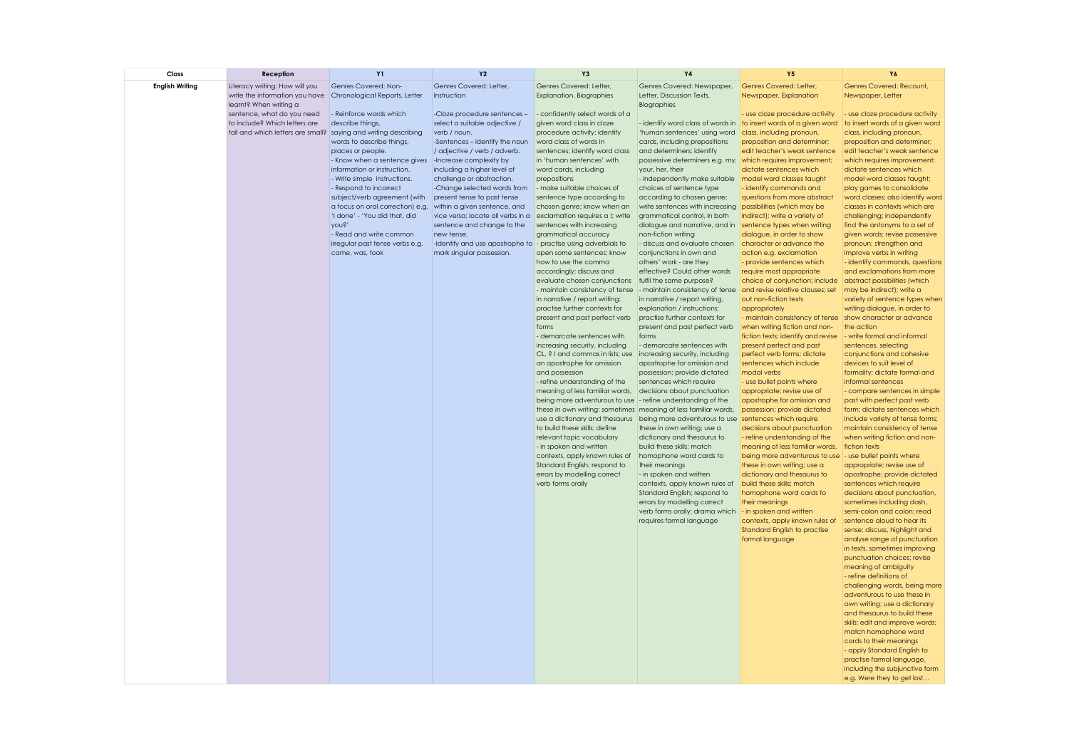| Class                  | Reception                                                                                        | <b>Y1</b>                                                                                                              | <b>Y2</b>                                                                                    | Y3                                                                                                                                                               | <b>Y4</b>                                                                                                                         | <b>Y5</b>                                                                                              | Y6                                                                                              |
|------------------------|--------------------------------------------------------------------------------------------------|------------------------------------------------------------------------------------------------------------------------|----------------------------------------------------------------------------------------------|------------------------------------------------------------------------------------------------------------------------------------------------------------------|-----------------------------------------------------------------------------------------------------------------------------------|--------------------------------------------------------------------------------------------------------|-------------------------------------------------------------------------------------------------|
| <b>English Writing</b> | Literacy writing: How will you<br>write the information you have<br>learnt? When writing a       | Genres Covered: Non-<br>Chronological Reports, Letter                                                                  | Genres Covered: Letter,<br>Instruction                                                       | Genres Covered: Letter,<br><b>Explanation, Biographies</b>                                                                                                       | Genres Covered: Newspaper,<br>Letter, Discussion Texts,<br>Biographies                                                            | Genres Covered: Letter,<br>Newspaper, Explanation                                                      | Genres Covered: Recount,<br>Newspaper, Letter                                                   |
|                        | sentence, what do you need<br>to include? Which letters are<br>tall and which letters are small? | - Reinforce words which<br>describe things,                                                                            | -Cloze procedure sentences -<br>select a suitable adjective /                                | - confidently select words of a<br>given word class in cloze                                                                                                     |                                                                                                                                   | - use cloze procedure activity<br>- identify word class of words in to insert words of a given word    | - use cloze procedure activity<br>to insert words of a given word                               |
|                        |                                                                                                  | saying and writing describing<br>words to describe things,<br>places or people.                                        | verb / noun.<br>-Sentences - identify the noun<br>/ adjective / verb / adverb.               | procedure activity; identify<br>word class of words in<br>sentences; identify word class                                                                         | 'human sentences' using word<br>cards, including prepositions<br>and determiners; identify                                        | class, including pronoun,<br>preposition and determiner;<br>edit teacher's weak sentence               | class, including pronoun,<br>preposition and determiner;<br>edit teacher's weak sentence        |
|                        |                                                                                                  | - Know when a sentence gives   - Increase complexity by<br>information or instruction.<br>- Write simple instructions. | including a higher level of<br>challenge or abstraction.                                     | in 'human sentences' with<br>word cards, including<br>prepositions                                                                                               | possessive determiners e.g. my, which requires improvement;<br>your, her, their<br>- independently make suitable                  | dictate sentences which<br>model word classes taught                                                   | which requires improvement;<br>dictate sentences which<br>model word classes taught;            |
|                        |                                                                                                  | - Respond to incorrect<br>subject/verb agreement (with<br>a focus on oral correction) e.g.                             | -Change selected words from<br>present tense to past tense<br>within a given sentence, and   | - make suitable choices of<br>sentence type according to<br>chosen genre; know when an                                                                           | choices of sentence type<br>according to chosen genre;<br>write sentences with increasing                                         | identify commands and<br>questions from more abstract<br>possibilities (which may be                   | play games to consolidate<br>word classes; also identify word<br>classes in contexts which are  |
|                        |                                                                                                  | 'I done' - 'You did that, did<br>Aons.<br>- Read and write common                                                      | vice versa; locate all verbs in a<br>sentence and change to the<br>new tense.                | exclamation requires a !; write<br>sentences with increasing<br>grammatical accuracy                                                                             | grammatical control, in both<br>dialogue and narrative, and in<br>non-fiction writing                                             | indirect); write a variety of<br>sentence types when writing<br>dialogue, in order to show             | challenging; independently<br>find the antonyms to a set of<br>given words; revise possessive   |
|                        |                                                                                                  | irregular past tense verbs e.g.<br>came, was, took                                                                     | -Identify and use apostrophe to  - practise using adverbials to<br>mark singular possession. | open some sentences; know                                                                                                                                        | - discuss and evaluate chosen<br>conjunctions in own and                                                                          | character or advance the<br>action e.g. exclamation                                                    | pronoun; strengthen and<br>improve verbs in writing                                             |
|                        |                                                                                                  |                                                                                                                        |                                                                                              | how to use the comma<br>accordingly; discuss and<br>evaluate chosen conjunctions                                                                                 | others' work - are they<br>effective? Could other words<br>fulfil the same purpose?                                               | - provide sentences which<br>require most appropriate<br>choice of conjunction; include                | - identify commands, questions<br>and exclamations from more<br>abstract possibilities (which   |
|                        |                                                                                                  |                                                                                                                        |                                                                                              | - maintain consistency of tense<br>in narrative / report writing;<br>practise further contexts for                                                               | - maintain consistency of tense and revise relative clauses; set<br>in narrative / report writing,<br>explanation / instructions; | out non-fiction texts<br>appropriately                                                                 | may be indirect); write a<br>variety of sentence types when<br>writing dialogue, in order to    |
|                        |                                                                                                  |                                                                                                                        |                                                                                              | present and past perfect verb<br>forms<br>- demarcate sentences with                                                                                             | practise further contexts for<br>present and past perfect verb<br>forms                                                           | - maintain consistency of tense<br>when writing fiction and non-<br>fiction texts; identify and revise | show character or advance<br>the action<br>- write formal and informal                          |
|                        |                                                                                                  |                                                                                                                        |                                                                                              | increasing security, including<br>CL, ? ! and commas in lists; use<br>an apostrophe for omission                                                                 | - demarcate sentences with<br>increasing security, including<br>apostrophe for omission and                                       | present perfect and past<br>perfect verb forms; dictate<br>sentences which include                     | sentences, selecting<br>conjunctions and cohesive<br>devices to suit level of                   |
|                        |                                                                                                  |                                                                                                                        |                                                                                              | and possession<br>- refine understanding of the<br>meaning of less familiar words,                                                                               | possession; provide dictated<br>sentences which require<br>decisions about punctuation                                            | modal verbs<br>- use bullet points where<br>appropriate; revise use of                                 | formality; dictate formal and<br>informal sentences<br>- compare sentences in simple            |
|                        |                                                                                                  |                                                                                                                        |                                                                                              | being more adventurous to use - refine understanding of the<br>these in own writing; sometimes meaning of less familiar words,<br>use a dictionary and thesaurus | being more adventurous to use                                                                                                     | apostrophe for omission and<br>possession; provide dictated<br>sentences which require                 | past with perfect past verb<br>form; dictate sentences which<br>include variety of tense forms; |
|                        |                                                                                                  |                                                                                                                        |                                                                                              | to build these skills; define<br>relevant topic vocabulary                                                                                                       | these in own writing; use a<br>dictionary and thesaurus to                                                                        | decisions about punctuation<br>- refine understanding of the                                           | maintain consistency of tense<br>when writing fiction and non-                                  |
|                        |                                                                                                  |                                                                                                                        |                                                                                              | - in spoken and written<br>contexts, apply known rules of<br>Standard English; respond to                                                                        | build these skills; match<br>homophone word cards to<br>their meanings                                                            | meaning of less familiar words,<br>being more adventurous to use<br>these in own writing; use a        | fiction texts<br>- use bullet points where<br>appropriate; revise use of                        |
|                        |                                                                                                  |                                                                                                                        |                                                                                              | errors by modelling correct<br>verb forms orally                                                                                                                 | - in spoken and written<br>contexts, apply known rules of<br>Standard English; respond to                                         | dictionary and thesaurus to<br>build these skills; match<br>homophone word cards to                    | apostrophe; provide dictated<br>sentences which require<br>decisions about punctuation,         |
|                        |                                                                                                  |                                                                                                                        |                                                                                              |                                                                                                                                                                  | errors by modelling correct<br>verb forms orally; drama which<br>requires formal language                                         | their meanings<br>- in spoken and written<br>contexts, apply known rules of                            | sometimes including dash,<br>semi-colon and colon; read<br>sentence aloud to hear its           |
|                        |                                                                                                  |                                                                                                                        |                                                                                              |                                                                                                                                                                  |                                                                                                                                   | Standard English to practise<br>formal language                                                        | sense; discuss, highlight and<br>analyse range of punctuation<br>in texts, sometimes improving  |
|                        |                                                                                                  |                                                                                                                        |                                                                                              |                                                                                                                                                                  |                                                                                                                                   |                                                                                                        | punctuation choices; revise<br>meaning of ambiguity<br>- refine definitions of                  |
|                        |                                                                                                  |                                                                                                                        |                                                                                              |                                                                                                                                                                  |                                                                                                                                   |                                                                                                        | challenging words, being more<br>adventurous to use these in<br>own writing; use a dictionary   |
|                        |                                                                                                  |                                                                                                                        |                                                                                              |                                                                                                                                                                  |                                                                                                                                   |                                                                                                        | and thesaurus to build these<br>skills; edit and improve words;<br>match homophone word         |
|                        |                                                                                                  |                                                                                                                        |                                                                                              |                                                                                                                                                                  |                                                                                                                                   |                                                                                                        | cards to their meanings<br>- apply Standard English to<br>practise formal language,             |
|                        |                                                                                                  |                                                                                                                        |                                                                                              |                                                                                                                                                                  |                                                                                                                                   |                                                                                                        | including the subjunctive form<br>e.g. Were they to get lost                                    |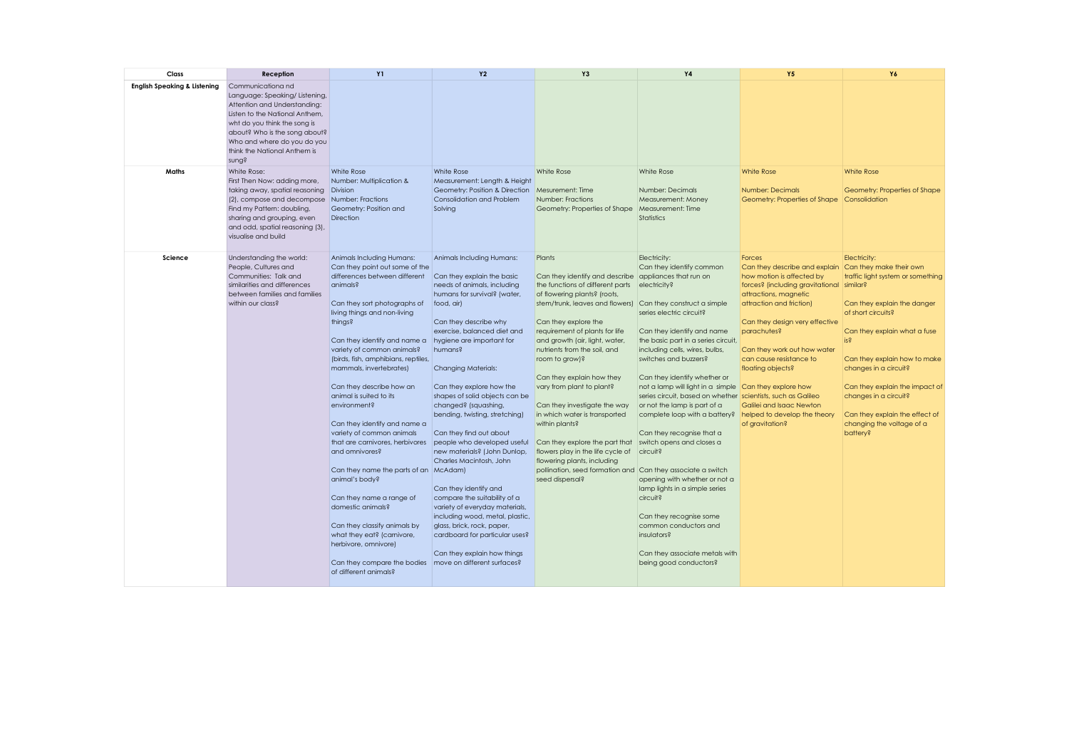| Class                                   | Reception                                                                                                                                                                                                                                                      | <b>Y1</b>                                                                                                                                                                                                                                                                                                                                                                                                                                                                                                                                                                                                                                                                                                                                                                                          | <b>Y2</b>                                                                                                                                                                                                                                                                                                                                                                                                                                                                                                                                                                                                                                                                                                                                    | Y3                                                                                                                                                                                                                                                                                                                                                                                                                                                                                                                                                                                                                                                        | <b>Y4</b>                                                                                                                                                                                                                                                                                                                                                                                                                                                                                                                                                                                                                                                                                                                                                          | <b>Y5</b>                                                                                                                                                                                                                                                                                                                                                                    | Y6                                                                                                                                                                                                                                                                                                                                                                                              |
|-----------------------------------------|----------------------------------------------------------------------------------------------------------------------------------------------------------------------------------------------------------------------------------------------------------------|----------------------------------------------------------------------------------------------------------------------------------------------------------------------------------------------------------------------------------------------------------------------------------------------------------------------------------------------------------------------------------------------------------------------------------------------------------------------------------------------------------------------------------------------------------------------------------------------------------------------------------------------------------------------------------------------------------------------------------------------------------------------------------------------------|----------------------------------------------------------------------------------------------------------------------------------------------------------------------------------------------------------------------------------------------------------------------------------------------------------------------------------------------------------------------------------------------------------------------------------------------------------------------------------------------------------------------------------------------------------------------------------------------------------------------------------------------------------------------------------------------------------------------------------------------|-----------------------------------------------------------------------------------------------------------------------------------------------------------------------------------------------------------------------------------------------------------------------------------------------------------------------------------------------------------------------------------------------------------------------------------------------------------------------------------------------------------------------------------------------------------------------------------------------------------------------------------------------------------|--------------------------------------------------------------------------------------------------------------------------------------------------------------------------------------------------------------------------------------------------------------------------------------------------------------------------------------------------------------------------------------------------------------------------------------------------------------------------------------------------------------------------------------------------------------------------------------------------------------------------------------------------------------------------------------------------------------------------------------------------------------------|------------------------------------------------------------------------------------------------------------------------------------------------------------------------------------------------------------------------------------------------------------------------------------------------------------------------------------------------------------------------------|-------------------------------------------------------------------------------------------------------------------------------------------------------------------------------------------------------------------------------------------------------------------------------------------------------------------------------------------------------------------------------------------------|
| <b>English Speaking &amp; Listening</b> | Communicationa nd<br>Language: Speaking/ Listening,<br>Attention and Understanding:<br>Listen to the National Anthem,<br>wht do you think the song is<br>about? Who is the song about?<br>Who and where do you do you<br>think the National Anthem is<br>sung? |                                                                                                                                                                                                                                                                                                                                                                                                                                                                                                                                                                                                                                                                                                                                                                                                    |                                                                                                                                                                                                                                                                                                                                                                                                                                                                                                                                                                                                                                                                                                                                              |                                                                                                                                                                                                                                                                                                                                                                                                                                                                                                                                                                                                                                                           |                                                                                                                                                                                                                                                                                                                                                                                                                                                                                                                                                                                                                                                                                                                                                                    |                                                                                                                                                                                                                                                                                                                                                                              |                                                                                                                                                                                                                                                                                                                                                                                                 |
| <b>Maths</b>                            | White Rose:<br>First Then Now: adding more,<br>taking away, spatial reasoning<br>(2), compose and decompose<br>Find my Pattern: doubling,<br>sharing and grouping, even<br>and odd, spatial reasoning (3),<br>visualise and build                              | White Rose<br>Number: Multiplication &<br>Division<br>Number: Fractions<br>Geometry: Position and<br>Direction                                                                                                                                                                                                                                                                                                                                                                                                                                                                                                                                                                                                                                                                                     | White Rose<br>Measurement: Length & Height<br>Geometry: Position & Direction<br>Consolidation and Problem<br>Solving                                                                                                                                                                                                                                                                                                                                                                                                                                                                                                                                                                                                                         | White Rose<br>Mesurement: Time<br>Number: Fractions<br>Geometry: Properties of Shape                                                                                                                                                                                                                                                                                                                                                                                                                                                                                                                                                                      | White Rose<br>Number: Decimals<br>Measurement: Money<br>Measurement: Time<br><b>Statistics</b>                                                                                                                                                                                                                                                                                                                                                                                                                                                                                                                                                                                                                                                                     | <b>White Rose</b><br>Number: Decimals<br>Geometry: Properties of Shape                                                                                                                                                                                                                                                                                                       | <b>White Rose</b><br>Geometry: Properties of Shape<br>Consolidation                                                                                                                                                                                                                                                                                                                             |
| Science                                 | Understanding the world:<br>People, Cultures and<br>Communities: Talk and<br>similarities and differences<br>between families and families<br>within our class?                                                                                                | Animals Including Humans:<br>Can they point out some of the<br>differences between different<br>animals?<br>Can they sort photographs of<br>living things and non-living<br>things?<br>Can they identify and name a<br>variety of common animals?<br>(birds, fish, amphibians, reptiles,<br>mammals, invertebrates)<br>Can they describe how an<br>animal is suited to its<br>environment?<br>Can they identify and name a<br>variety of common animals<br>that are carnivores, herbivores<br>and omnivores?<br>Can they name the parts of an McAdam)<br>animal's body?<br>Can they name a range of<br>domestic animals?<br>Can they classify animals by<br>what they eat? (carnivore,<br>herbivore, omnivore)<br>Can they compare the bodies move on different surfaces?<br>of different animals? | Animals Including Humans:<br>Can they explain the basic<br>needs of animals, including<br>humans for survival? (water,<br>food, air)<br>Can they describe why<br>exercise, balanced diet and<br>hygiene are important for<br>humans?<br><b>Changing Materials:</b><br>Can they explore how the<br>shapes of solid objects can be<br>changed? (squashing,<br>bending, twisting, stretching)<br>Can they find out about<br>people who developed useful<br>new materials? (John Dunlop,<br>Charles Macintosh, John<br>Can they identify and<br>compare the suitability of a<br>variety of everyday materials,<br>including wood, metal, plastic,<br>glass, brick, rock, paper,<br>cardboard for particular uses?<br>Can they explain how things | Plants<br>Can they identify and describe appliances that run on<br>the functions of different parts<br>of flowering plants? (roots,<br>stem/trunk, leaves and flowers)<br>Can they explore the<br>requirement of plants for life<br>and growth (air, light, water,<br>nutrients from the soil, and<br>room to grow)?<br>Can they explain how they<br>vary from plant to plant?<br>Can they investigate the way<br>in which water is transported<br>within plants?<br>Can they explore the part that<br>flowers play in the life cycle of<br>flowering plants, including<br>pollination, seed formation and Can they associate a switch<br>seed dispersal? | Electricity:<br>Can they identify common<br>electricity?<br>Can they construct a simple<br>series electric circuit?<br>Can they identify and name<br>the basic part in a series circuit,<br>including cells, wires, bulbs,<br>switches and buzzers?<br>Can they identify whether or<br>not a lamp will light in a simple Can they explore how<br>series circuit, based on whether scientists, such as Galileo<br>or not the lamp is part of a<br>complete loop with a battery?<br>Can they recognise that a<br>switch opens and closes a<br>circuit?<br>opening with whether or not a<br>lamp lights in a simple series<br>circuit?<br>Can they recognise some<br>common conductors and<br>insulators?<br>Can they associate metals with<br>being good conductors? | Forces<br>Can they describe and explain<br>how motion is affected by<br>forces? (including gravitational<br>attractions, magnetic<br>attraction and friction)<br>Can they design very effective<br>parachutes?<br>Can they work out how water<br>can cause resistance to<br>floating objects?<br>Galilei and Isaac Newton<br>helped to develop the theory<br>of gravitation? | Electricity:<br>Can they make their own<br>traffic light system or something<br>similar?<br>Can they explain the danger<br>of short circuits?<br>Can they explain what a fuse<br>is <sub>5</sub><br>Can they explain how to make<br>changes in a circuit?<br>Can they explain the impact of<br>changes in a circuit?<br>Can they explain the effect of<br>changing the voltage of a<br>battery? |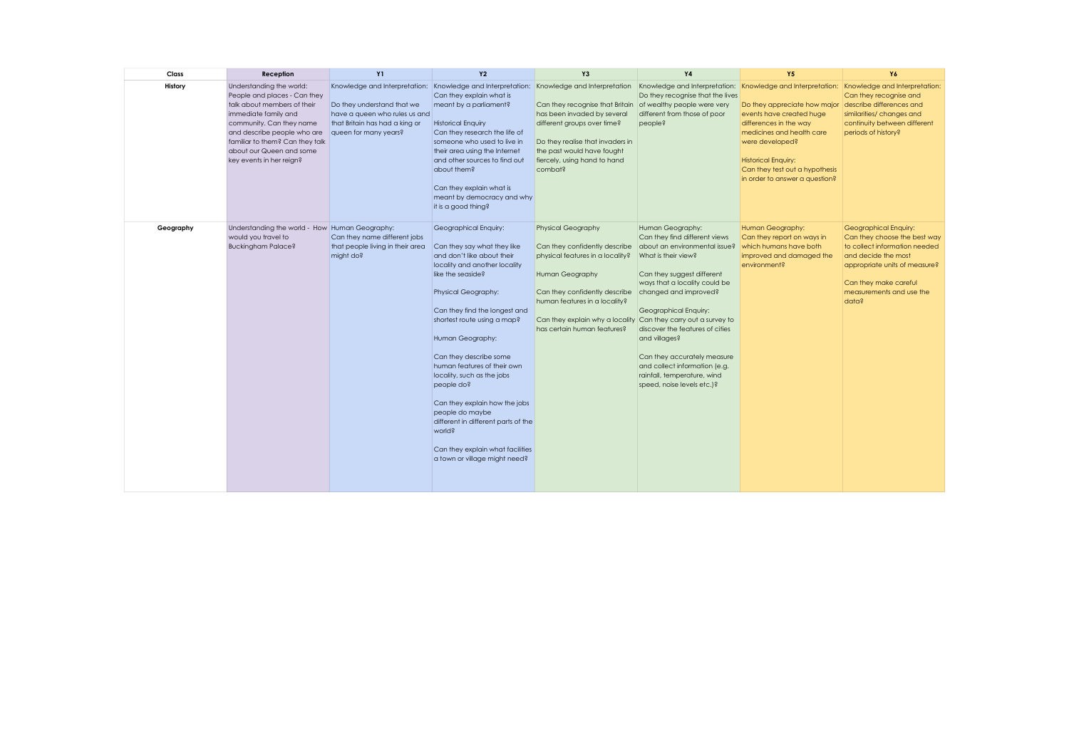| Class     | Reception                                                                                                                                                                                                                                                             | <b>Y1</b>                                                                                                              | <b>Y2</b>                                                                                                                                                                                                                                                                                                                                                                                                                                                                                                                          | Y <sub>3</sub>                                                                                                                                                                                                                                                         | <b>Y4</b>                                                                                                                                                                                                                                                                                                                                                                                                                                     | <b>Y5</b>                                                                                                                                                                                                                            | Y6                                                                                                                                                                                                           |
|-----------|-----------------------------------------------------------------------------------------------------------------------------------------------------------------------------------------------------------------------------------------------------------------------|------------------------------------------------------------------------------------------------------------------------|------------------------------------------------------------------------------------------------------------------------------------------------------------------------------------------------------------------------------------------------------------------------------------------------------------------------------------------------------------------------------------------------------------------------------------------------------------------------------------------------------------------------------------|------------------------------------------------------------------------------------------------------------------------------------------------------------------------------------------------------------------------------------------------------------------------|-----------------------------------------------------------------------------------------------------------------------------------------------------------------------------------------------------------------------------------------------------------------------------------------------------------------------------------------------------------------------------------------------------------------------------------------------|--------------------------------------------------------------------------------------------------------------------------------------------------------------------------------------------------------------------------------------|--------------------------------------------------------------------------------------------------------------------------------------------------------------------------------------------------------------|
| History   | Understanding the world:<br>People and places - Can they<br>talk about members of their<br>immediate family and<br>community. Can they name<br>and describe people who are<br>familiar to them? Can they talk<br>about our Queen and some<br>key events in her reign? | Do they understand that we<br>have a queen who rules us and<br>that Britain has had a king or<br>queen for many years? | Knowledge and Interpretation: Knowledge and Interpretation:<br>Can they explain what is<br>meant by a parliament?<br><b>Historical Enquiry</b><br>Can they research the life of<br>someone who used to live in<br>their area using the Internet<br>and other sources to find out<br>about them?<br>Can they explain what is<br>meant by democracy and why<br>it is a good thing?                                                                                                                                                   | Knowledge and Interpretation<br>Can they recognise that Britain of wealthy people were very<br>has been invaded by several<br>different groups over time?<br>Do they realise that invaders in<br>the past would have fought<br>fiercely, using hand to hand<br>combat? | Knowledge and Interpretation: Knowledge and Interpretation: Knowledge and Interpretation:<br>Do they recognise that the lives<br>different from those of poor<br>people?                                                                                                                                                                                                                                                                      | Do they appreciate how major<br>events have created huge<br>differences in the way<br>medicines and health care<br>were developed?<br><b>Historical Enquiry:</b><br>Can they test out a hypothesis<br>in order to answer a question? | Can they recognise and<br>describe differences and<br>similarities/ changes and<br>continuity between different<br>periods of history?                                                                       |
| Geography | Understanding the world - How Human Geography:<br>would you travel to<br><b>Buckingham Palace?</b>                                                                                                                                                                    | Can they name different jobs<br>that people living in their area<br>might do?                                          | Geographical Enquiry:<br>Can they say what they like<br>and don't like about their<br>locality and another locality<br>like the seaside?<br>Physical Geography:<br>Can they find the longest and<br>shortest route using a map?<br>Human Geography:<br>Can they describe some<br>human features of their own<br>locality, such as the jobs<br>people do?<br>Can they explain how the jobs<br>people do maybe<br>different in different parts of the<br>world?<br>Can they explain what facilities<br>a town or village might need? | <b>Physical Geography</b><br>Can they confidently describe<br>physical features in a locality?<br>Human Geography<br>Can they confidently describe<br>human features in a locality?<br>Can they explain why a locality<br>has certain human features?                  | Human Geography:<br>Can they find different views<br>about an environmental issue?<br>What is their view?<br>Can they suggest different<br>ways that a locality could be<br>changed and improved?<br>Geographical Enquiry:<br>Can they carry out a survey to<br>discover the features of cities<br>and villages?<br>Can they accurately measure<br>and collect information (e.g.<br>rainfall, temperature, wind<br>speed, noise levels etc.)? | Human Geography:<br>Can they report on ways in<br>which humans have both<br>improved and damaged the<br>environment?                                                                                                                 | Geographical Enquiry:<br>Can they choose the best way<br>to collect information needed<br>and decide the most<br>appropriate units of measure?<br>Can they make careful<br>measurements and use the<br>data? |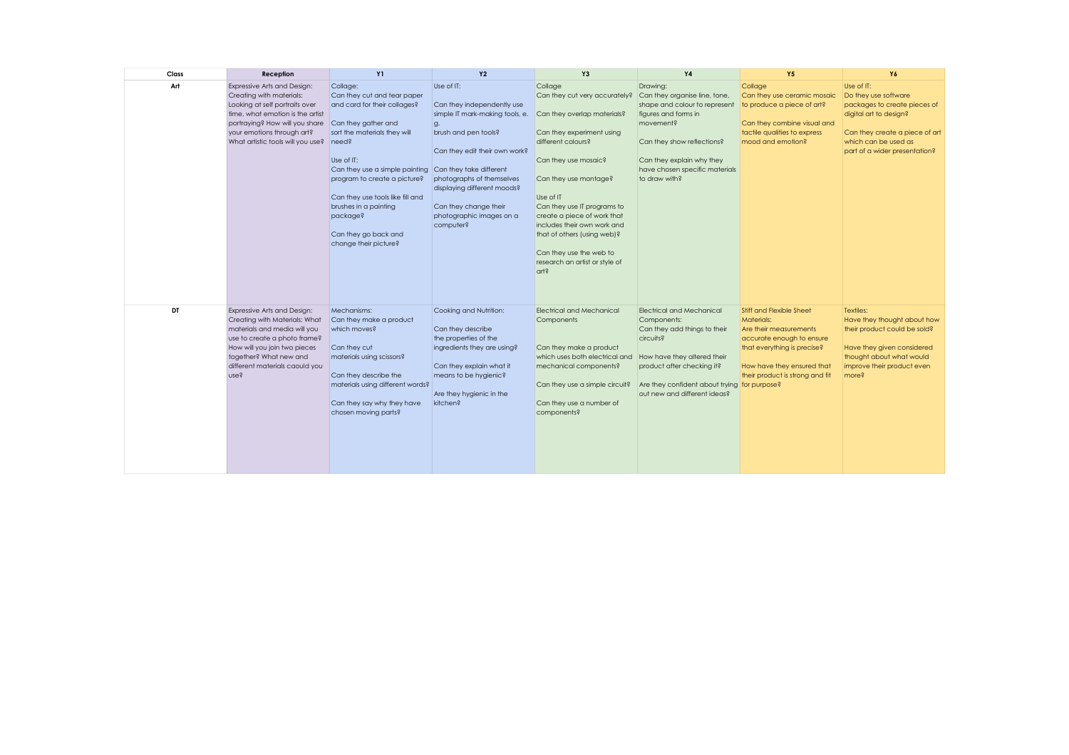| Class | Reception                                                                                                                                                                                                                                 | <b>Y1</b>                                                                                                                                                                                                                                                                                                                                         | <b>Y2</b>                                                                                                                                                                                                                                                                                           | <b>Y3</b>                                                                                                                                                                                                                                                                                                                                                                                 | <b>Y4</b>                                                                                                                                                                                                                                 | <b>Y5</b>                                                                                                                                                                                            | Y6                                                                                                                                                                                      |
|-------|-------------------------------------------------------------------------------------------------------------------------------------------------------------------------------------------------------------------------------------------|---------------------------------------------------------------------------------------------------------------------------------------------------------------------------------------------------------------------------------------------------------------------------------------------------------------------------------------------------|-----------------------------------------------------------------------------------------------------------------------------------------------------------------------------------------------------------------------------------------------------------------------------------------------------|-------------------------------------------------------------------------------------------------------------------------------------------------------------------------------------------------------------------------------------------------------------------------------------------------------------------------------------------------------------------------------------------|-------------------------------------------------------------------------------------------------------------------------------------------------------------------------------------------------------------------------------------------|------------------------------------------------------------------------------------------------------------------------------------------------------------------------------------------------------|-----------------------------------------------------------------------------------------------------------------------------------------------------------------------------------------|
| Art   | <b>Expressive Arts and Design:</b><br>Creating with materials:<br>Looking at self portraits over<br>time, what emotion is the artist<br>portraying? How will you share<br>your emotions through art?<br>What artistic tools will you use? | Collage:<br>Can they cut and tear paper<br>and card for their collages?<br>Can they gather and<br>sort the materials they will<br>need?<br>Use of IT:<br>Can they use a simple painting<br>program to create a picture?<br>Can they use tools like fill and<br>brushes in a painting<br>package?<br>Can they go back and<br>change their picture? | Use of IT:<br>Can they independently use<br>simple IT mark-making tools, e.<br>g.<br>brush and pen tools?<br>Can they edit their own work?<br>Can they take different<br>photographs of themselves<br>displaying different moods?<br>Can they change their<br>photographic images on a<br>computer? | Collage<br>Can they cut very accurately?<br>Can they overlap materials?<br>Can they experiment using<br>different colours?<br>Can they use mosaic?<br>Can they use montage?<br>Use of IT<br>Can they use IT programs to<br>create a piece of work that<br>includes their own work and<br>that of others (using web)?<br>Can they use the web to<br>research an artist or style of<br>art? | Drawing:<br>Can they organise line, tone,<br>shape and colour to represent<br>figures and forms in<br>movement?<br>Can they show reflections?<br>Can they explain why they<br>have chosen specific materials<br>to draw with?             | Collage<br>Can they use ceramic mosaic<br>to produce a piece of art?<br>Can they combine visual and<br>tactile qualities to express<br>mood and emotion?                                             | Use of IT:<br>Do they use software<br>packages to create pieces of<br>digital art to design?<br>Can they create a piece of art<br>which can be used as<br>part of a wider presentation? |
| DT    | Expressive Arts and Design:<br>Creating with Materials: What<br>materials and media will you<br>use to create a photo frame?<br>How will you join two pieces<br>together? What new and<br>different materials caould you<br>use?          | Mechanisms:<br>Can they make a product<br>which moves?<br>Can they cut<br>materials using scissors?<br>Can they describe the<br>materials using different words?<br>Can they say why they have<br>chosen moving parts?                                                                                                                            | Cooking and Nutrition:<br>Can they describe<br>the properties of the<br>ingredients they are using?<br>Can they explain what it<br>means to be hygienic?<br>Are they hygienic in the<br>kitchen?                                                                                                    | <b>Electrical and Mechanical</b><br>Components<br>Can they make a product<br>which uses both electrical and<br>mechanical components?<br>Can they use a simple circuit?<br>Can they use a number of<br>components?                                                                                                                                                                        | <b>Electrical and Mechanical</b><br>Components:<br>Can they add things to their<br>circuits?<br>How have they altered their<br>product after checking it?<br>Are they confident about trying for purpose?<br>out new and different ideas? | <b>Stiff and Flexible Sheet</b><br>Materials:<br>Are their measurements<br>accurate enough to ensure<br>that everything is precise?<br>How have they ensured that<br>their product is strong and fit | Textiles:<br>Have they thought about how<br>their product could be sold?<br>Have they given considered<br>thought about what would<br>improve their product even<br>more?               |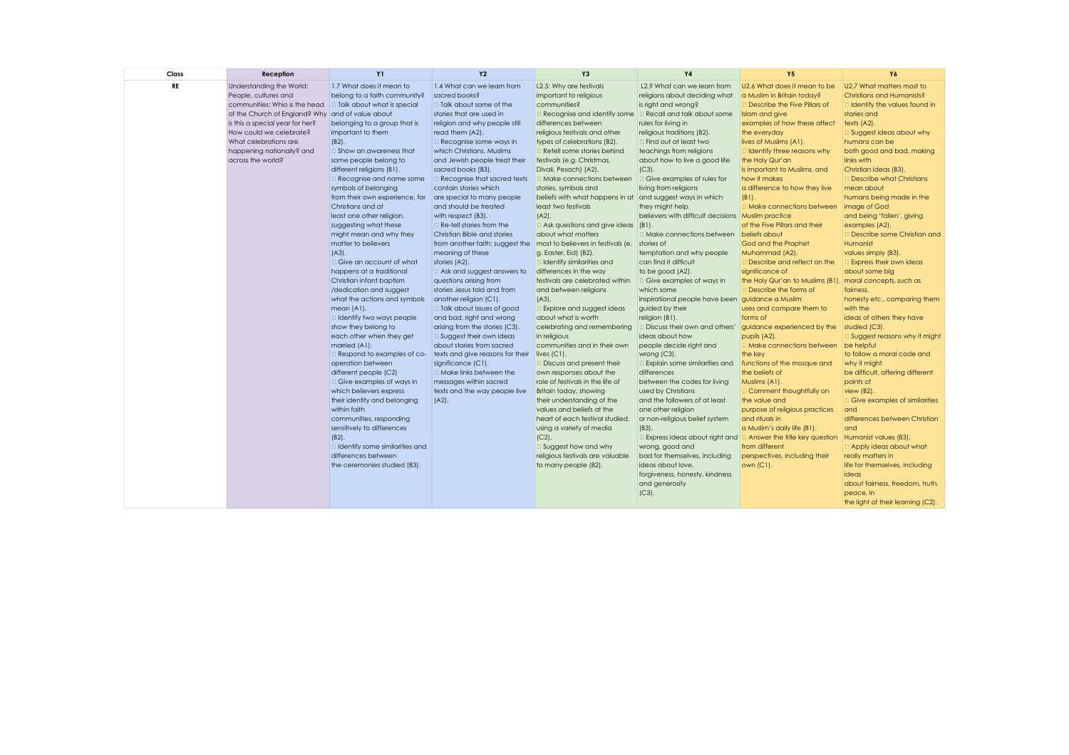| Reception                                                                                                                                                                                                                  | <b>Y1</b>                                                                                                                                                                                                                                                                                                                                                                                                                                                                                                                                                                                                                                                                                                                                                                                                                                                                                                                                                                                                                                     | <b>Y2</b>                                                                                                                                                                                                                                                                                                                                                                                                                                                                                                                                                                                                                                                                                                                                                                                                                                                                                                                                                                                                    | Y3                                                                                                                                                                                                                                                                                                                                                                                                                                                                                                                                                                                                                                                                                                                                                                                                                                                                                                                                                                                                                                         | <b>Y4</b>                                                                                                                                                                                                                                                                                                                                                                                                                                                                                                                                                                                                                                                                                                                                                                                                                                                                                     | <b>Y5</b>                                                                                                                                                                                                                                                                                                                                                                                                                                                                                                                                                                                                                                                                                                                                                                                                                                                                                                                                                                                              | Y6                                                                                                                                                                                                                                                                                                                                                                                                                                                                                                                                                                                                                                                                                                                                                                                                                                                                                                                                                    |
|----------------------------------------------------------------------------------------------------------------------------------------------------------------------------------------------------------------------------|-----------------------------------------------------------------------------------------------------------------------------------------------------------------------------------------------------------------------------------------------------------------------------------------------------------------------------------------------------------------------------------------------------------------------------------------------------------------------------------------------------------------------------------------------------------------------------------------------------------------------------------------------------------------------------------------------------------------------------------------------------------------------------------------------------------------------------------------------------------------------------------------------------------------------------------------------------------------------------------------------------------------------------------------------|--------------------------------------------------------------------------------------------------------------------------------------------------------------------------------------------------------------------------------------------------------------------------------------------------------------------------------------------------------------------------------------------------------------------------------------------------------------------------------------------------------------------------------------------------------------------------------------------------------------------------------------------------------------------------------------------------------------------------------------------------------------------------------------------------------------------------------------------------------------------------------------------------------------------------------------------------------------------------------------------------------------|--------------------------------------------------------------------------------------------------------------------------------------------------------------------------------------------------------------------------------------------------------------------------------------------------------------------------------------------------------------------------------------------------------------------------------------------------------------------------------------------------------------------------------------------------------------------------------------------------------------------------------------------------------------------------------------------------------------------------------------------------------------------------------------------------------------------------------------------------------------------------------------------------------------------------------------------------------------------------------------------------------------------------------------------|-----------------------------------------------------------------------------------------------------------------------------------------------------------------------------------------------------------------------------------------------------------------------------------------------------------------------------------------------------------------------------------------------------------------------------------------------------------------------------------------------------------------------------------------------------------------------------------------------------------------------------------------------------------------------------------------------------------------------------------------------------------------------------------------------------------------------------------------------------------------------------------------------|--------------------------------------------------------------------------------------------------------------------------------------------------------------------------------------------------------------------------------------------------------------------------------------------------------------------------------------------------------------------------------------------------------------------------------------------------------------------------------------------------------------------------------------------------------------------------------------------------------------------------------------------------------------------------------------------------------------------------------------------------------------------------------------------------------------------------------------------------------------------------------------------------------------------------------------------------------------------------------------------------------|-------------------------------------------------------------------------------------------------------------------------------------------------------------------------------------------------------------------------------------------------------------------------------------------------------------------------------------------------------------------------------------------------------------------------------------------------------------------------------------------------------------------------------------------------------------------------------------------------------------------------------------------------------------------------------------------------------------------------------------------------------------------------------------------------------------------------------------------------------------------------------------------------------------------------------------------------------|
| Understanding the World:<br>People, cultures and<br>communities: Whio is the head<br>is this a special year for her?<br>How could we celebrate?<br>What celebrations are<br>happening nationally? and<br>across the world? | 1.7 What does it mean to<br>belong to a faith community?<br>belonging to a group that is<br>important to them<br>$(B2)$ .<br>$\Box$ Show an awareness that<br>some people belong to<br>different religions (B1).<br>Recognise and name some<br>symbols of belonging<br>from their own experience, for<br>Christians and at<br>least one other religion,<br>suggesting what these<br>might mean and why they<br>matter to believers<br>$(A3)$ .<br>□ Give an account of what<br>happens at a traditional<br>Christian infant baptism<br>/dedication and suggest<br>what the actions and symbols<br>mean (A1).<br>I Identify two ways people<br>show they belong to<br>each other when they get<br>married (A1).<br>$\Box$ Respond to examples of co-<br>operation between<br>different people (C2)<br>Give examples of ways in<br>which believers express<br>their identity and belonging<br>within faith<br>communities, responding<br>sensitively to differences<br>$(B2)$ .<br>$\Box$ Identify some similarities and<br>differences between | 1.4 What can we learn from<br>sacred books?<br>□ Talk about some of the<br>stories that are used in<br>religion and why people still<br>read them (A2).<br>$\Box$ Recognise some ways in<br>which Christians, Muslims<br>and Jewish people treat their<br>sacred books (B3).<br>Recognise that sacred texts<br>contain stories which<br>are special to many people<br>and should be treated<br>with respect (B3).<br>$\Box$ Re-tell stories from the<br>Christian Bible and stories<br>from another faith; suggest the<br>meaning of these<br>stories (A2).<br>$\Box$ Ask and suggest answers to<br>questions arising from<br>stories Jesus told and from<br>another religion (C1).<br>□ Talk about issues of good<br>and bad, right and wrong<br>arising from the stories (C3).<br>$\Box$ Suggest their own ideas<br>about stories from sacred<br>texts and give reasons for their<br>significance (C1).<br>□ Make links between the<br>messages within sacred<br>texts and the way people live<br>$(A2)$ . | L2.5: Why are festivals<br>important to religious<br>communities?<br>differences between<br>religious festivals and other<br>types of celebrations (B2).<br>Retell some stories behind<br>festivals (e.g. Christmas,<br>Divali, Pesach) (A2).<br>□ Make connections between<br>stories, symbols and<br>least two festivals<br>$(A2)$ .<br>about what matters<br>most to believers in festivals (e.<br>g. Easter, Eid) (B2).<br>I Identify similarities and<br>differences in the way<br>festivals are celebrated within<br>and between religions<br>$(A3)$ .<br><b>Explore and suggest ideas</b><br>about what is worth<br>celebrating and remembering<br>in religious<br>communities and in their own<br>live(Cl).<br>Discuss and present their<br>own responses about the<br>role of festivals in the life of<br>Britain today, showing<br>their understanding of the<br>values and beliefs at the<br>heart of each festival studied,<br>using a variety of media<br>$(C2)$ .<br>Suggest how and why<br>religious festivals are valuable | L2.9 What can we learn from<br>religions about deciding what<br>is right and wrong?<br>rules for living in<br>religious traditions (B2).<br>$\Box$ Find out at least two<br>teachings from religions<br>about how to live a good life<br>$(C3)$ .<br>Give examples of rules for<br>living from religions<br>they might help<br>□ Make connections between<br>temptation and why people<br>can find it difficult<br>to be good (A2).<br>$\Box$ Give examples of ways in<br>which some<br>guided by their<br>religion (B1).<br>$\Box$ Discuss their own and others'<br>ideas about how<br>people decide right and<br>wrong (C3).<br>Explain some similarities and<br>differences<br>between the codes for living<br>used by Christians<br>and the followers of at least<br>one other religion<br>or non-religious belief system<br>$(B3)$ .<br>wrong, good and<br>bad for themselves, including | U2.6 What does it mean to be<br>a Muslim in Britain today?<br>Describe the Five Pillars of<br>Islam and give<br>examples of how these affect<br>the everyday<br>lives of Muslims (A1).<br>Identify three reasons why<br>the Holy Qur'an<br>is important to Muslims, and<br>how it makes<br>a difference to how they live<br>$(B1)$ .<br>Make connections between<br>Muslim practice<br>of the Five Pillars and their<br>God and the Prophet<br>Muhammad (A2).<br>Describe and reflect on the<br>significance of<br>the Holy Qur'an to Muslims (B1).<br>Describe the forms of<br>uses and compare them to<br>forms of<br>guidance experienced by the<br>pupils (A2).<br>Make connections between<br>the key<br>functions of the mosque and<br>the beliefs of<br>Muslims (A1).<br>Comment thoughtfully on<br>the value and<br>purpose of religious practices<br>and rituals in<br>a Muslim's daily life (B1).<br>$\Box$ Answer the title key question<br>from different<br>perspectives, including their | U2.7 What matters most to<br>Christians and Humanists?<br>Identify the values found in<br>stories and<br>texts (A2).<br>Suggest ideas about why<br>humans can be<br>both good and bad, making<br>links with<br>Christian ideas (B3).<br>Describe what Christians<br>mean about<br>humans being made in the<br>image of God<br>and being 'fallen', giving<br>examples (A2).<br>Describe some Christian and<br>Humanist<br>values simply (B3).<br><b>Express their own ideas</b><br>about some big<br>moral concepts, such as<br>fairness.<br>honesty etc., comparing them<br>with the<br>ideas of others they have<br>studied (C3).<br>Suggest reasons why it might<br>be helpful<br>to follow a moral code and<br>why it might<br>be difficult, offering different<br>points of<br>view (B2).<br>Give examples of similarities<br>and<br>differences between Christian<br>and<br>Humanist values (B3).<br>Apply ideas about what<br>really matters in |
|                                                                                                                                                                                                                            | the ceremonies studied (B3).                                                                                                                                                                                                                                                                                                                                                                                                                                                                                                                                                                                                                                                                                                                                                                                                                                                                                                                                                                                                                  |                                                                                                                                                                                                                                                                                                                                                                                                                                                                                                                                                                                                                                                                                                                                                                                                                                                                                                                                                                                                              | to many people (B2).                                                                                                                                                                                                                                                                                                                                                                                                                                                                                                                                                                                                                                                                                                                                                                                                                                                                                                                                                                                                                       | ideas about love,<br>forgiveness, honesty, kindness<br>and generosity<br>$(C3)$ .                                                                                                                                                                                                                                                                                                                                                                                                                                                                                                                                                                                                                                                                                                                                                                                                             | own $(C1)$ .                                                                                                                                                                                                                                                                                                                                                                                                                                                                                                                                                                                                                                                                                                                                                                                                                                                                                                                                                                                           | life for themselves, including<br>ideas<br>about fairness, freedom, truth,<br>peace, in<br>the light of their learning (C2).                                                                                                                                                                                                                                                                                                                                                                                                                                                                                                                                                                                                                                                                                                                                                                                                                          |
|                                                                                                                                                                                                                            |                                                                                                                                                                                                                                                                                                                                                                                                                                                                                                                                                                                                                                                                                                                                                                                                                                                                                                                                                                                                                                               | □ Talk about what is special<br>of the Church of England? Why and of value about                                                                                                                                                                                                                                                                                                                                                                                                                                                                                                                                                                                                                                                                                                                                                                                                                                                                                                                             |                                                                                                                                                                                                                                                                                                                                                                                                                                                                                                                                                                                                                                                                                                                                                                                                                                                                                                                                                                                                                                            |                                                                                                                                                                                                                                                                                                                                                                                                                                                                                                                                                                                                                                                                                                                                                                                                                                                                                               | Recognise and identify some   Recall and talk about some<br>beliefs with what happens in at and suggest ways in which<br>$\Box$ Ask questions and give ideas (B1).<br>stories of                                                                                                                                                                                                                                                                                                                                                                                                                                                                                                                                                                                                                                                                                                                                                                                                                       | believers with difficult decisions<br>beliefs about<br>inspirational people have been guidance a Muslim<br>$\Box$ Express ideas about right and                                                                                                                                                                                                                                                                                                                                                                                                                                                                                                                                                                                                                                                                                                                                                                                                       |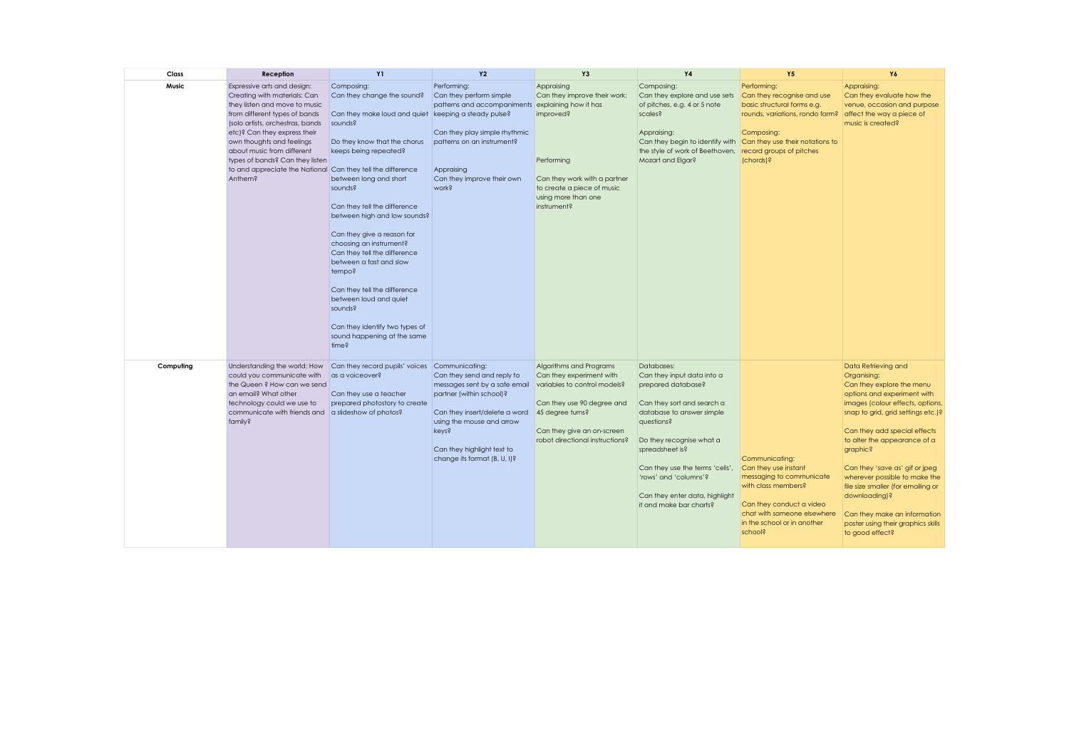| Class     | Reception                                                                                                                                                                                                                                                                                                                                                                 | <b>Y1</b>                                                                                                                                                                                                                                                                                                                                                                                                                                                                                                                                              | <b>Y2</b>                                                                                                                                                                                                                    | Y3                                                                                                                                                                                                     | <b>Y4</b>                                                                                                                                                                                                                                                                                                       | <b>Y5</b>                                                                                                                                                                                      | Y6                                                                                                                                                                                                                                                                                                                                                                                                                                                                      |
|-----------|---------------------------------------------------------------------------------------------------------------------------------------------------------------------------------------------------------------------------------------------------------------------------------------------------------------------------------------------------------------------------|--------------------------------------------------------------------------------------------------------------------------------------------------------------------------------------------------------------------------------------------------------------------------------------------------------------------------------------------------------------------------------------------------------------------------------------------------------------------------------------------------------------------------------------------------------|------------------------------------------------------------------------------------------------------------------------------------------------------------------------------------------------------------------------------|--------------------------------------------------------------------------------------------------------------------------------------------------------------------------------------------------------|-----------------------------------------------------------------------------------------------------------------------------------------------------------------------------------------------------------------------------------------------------------------------------------------------------------------|------------------------------------------------------------------------------------------------------------------------------------------------------------------------------------------------|-------------------------------------------------------------------------------------------------------------------------------------------------------------------------------------------------------------------------------------------------------------------------------------------------------------------------------------------------------------------------------------------------------------------------------------------------------------------------|
| Music     | Expressive arts and design:<br>Creating with materials: Can<br>they listen and move to music<br>from different types of bands<br>(solo artists, orchestras, bands<br>etc)? Can they express their<br>own thoughts and feelings<br>about music from different<br>types of bands? Can they listen<br>to and appreciate the National Can they tell the difference<br>Anthem? | Composing:<br>Can they change the sound?<br>Can they make loud and quiet keeping a steady pulse?<br>sounds?<br>Do they know that the chorus<br>keeps being repeated?<br>between long and short<br>sounds?<br>Can they tell the difference<br>between high and low sounds?<br>Can they give a reason for<br>choosing an instrument?<br>Can they tell the difference<br>between a fast and slow<br>tempo?<br>Can they tell the difference<br>between loud and quiet<br>sounds?<br>Can they identify two types of<br>sound happening at the same<br>time? | Performing:<br>Can they perform simple<br>patterns and accompaniments explaining how it has<br>Can they play simple rhythmic<br>patterns on an instrument?<br>Appraising<br>Can they improve their own<br>work?              | Appraising<br>Can they improve their work;<br>improved?<br>Performing<br>Can they work with a partner<br>to create a piece of music<br>using more than one<br>instrument?                              | Composing:<br>Can they explore and use sets<br>of pitches, e.g. 4 or 5 note<br>scales?<br>Appraising:<br>Can they begin to identify with Can they use their notations to<br>the style of work of Beethoven, record groups of pitches<br>Mozart and Elgar?                                                       | Performing:<br>Can they recognise and use<br>basic structural forms e.g.<br>rounds, variations, rondo form?<br>Composing:<br>(chords)?                                                         | Appraising:<br>Can they evaluate how the<br>venue, occasion and purpose<br>affect the way a piece of<br>music is created?                                                                                                                                                                                                                                                                                                                                               |
| Computing | Understanding the world: How<br>could you communicate with<br>the Queen ? How can we send<br>an email? What other<br>technology could we use to<br>communicate with friends and<br>family?                                                                                                                                                                                | Can they record pupils' voices Communicating:<br>as a voiceover?<br>Can they use a teacher<br>prepared photostory to create<br>a slideshow of photos?                                                                                                                                                                                                                                                                                                                                                                                                  | Can they send and reply to<br>messages sent by a safe email<br>partner (within school)?<br>Can they insert/delete a word<br>using the mouse and arrow<br>keys?<br>Can they highlight text to<br>change its format (B, U, I)? | Algorithms and Programs<br>Can they experiment with<br>variables to control models?<br>Can they use 90 degree and<br>45 degree turns?<br>Can they give an on-screen<br>robot directional instructions? | Databases:<br>Can they input data into a<br>prepared database?<br>Can they sort and search a<br>database to answer simple<br>questions?<br>Do they recognise what a<br>spreadsheet is?<br>Can they use the terms 'cells',<br>'rows' and 'columns'?<br>Can they enter data, highlight<br>it and make bar charts? | Communicating:<br>Can they use instant<br>messaging to communicate<br>with class members?<br>Can they conduct a video<br>chat with someone elsewhere<br>in the school or in another<br>school? | Data Retrieving and<br>Organising:<br>Can they explore the menu<br>options and experiment with<br>images (colour effects, options,<br>snap to grid, grid settings etc.)?<br>Can they add special effects<br>to alter the appearance of a<br>graphic?<br>Can they 'save as' gif or jpeg<br>wherever possible to make the<br>file size smaller (for emailing or<br>downloading)?<br>Can they make an information<br>poster using their graphics skills<br>to good effect? |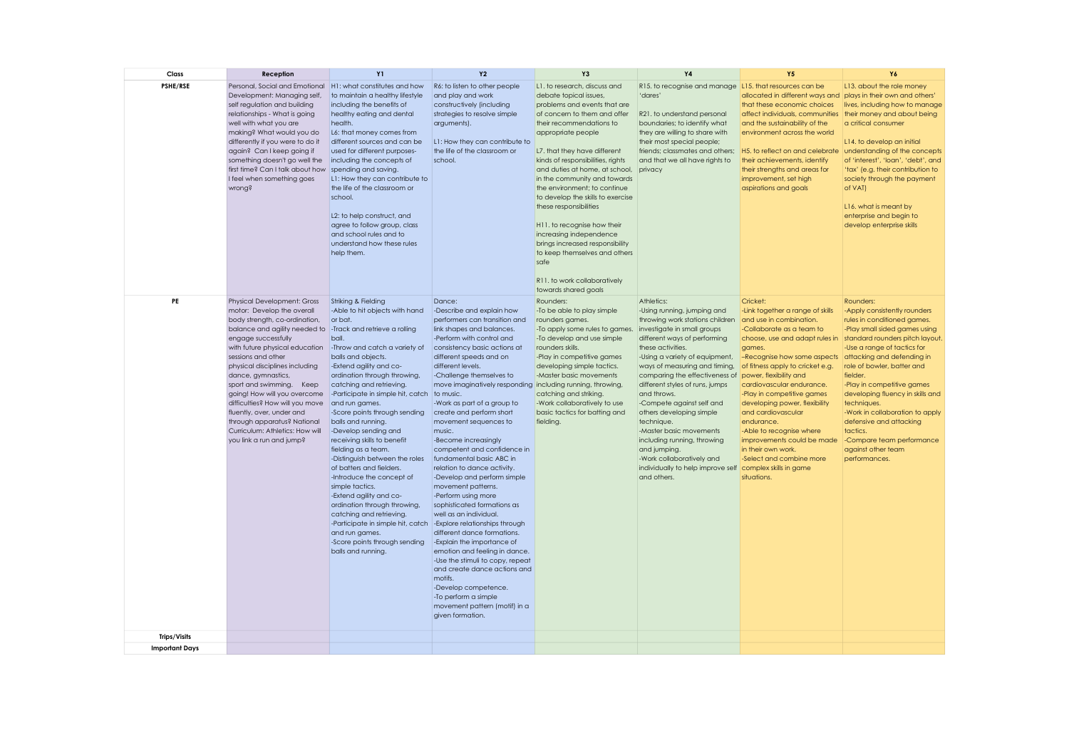| Class                 | Reception                                                                                                                                                                                                                                                                                                                                                                                                                                                                                                                  | <b>Y1</b>                                                                                                                                                                                                                                                                                                                                                                                                                                                                                                                                                                                                                                                                                                                                                                       | <b>Y2</b>                                                                                                                                                                                                                                                                                                                                                                                                                                                                                                                                                                                                                                                                                                                                                                                                                                                                                                                                       | Y3                                                                                                                                                                                                                                                                                                                                                                                                                                                                                                                                                                                   | Y <sub>4</sub>                                                                                                                                                                                                                                                                                                                                                                                                                                                                                                                                            | <b>Y5</b>                                                                                                                                                                                                                                                                                                                                                                                                                                                                                                                                                          | Y6                                                                                                                                                                                                                                                                                                                                                                                                                                              |
|-----------------------|----------------------------------------------------------------------------------------------------------------------------------------------------------------------------------------------------------------------------------------------------------------------------------------------------------------------------------------------------------------------------------------------------------------------------------------------------------------------------------------------------------------------------|---------------------------------------------------------------------------------------------------------------------------------------------------------------------------------------------------------------------------------------------------------------------------------------------------------------------------------------------------------------------------------------------------------------------------------------------------------------------------------------------------------------------------------------------------------------------------------------------------------------------------------------------------------------------------------------------------------------------------------------------------------------------------------|-------------------------------------------------------------------------------------------------------------------------------------------------------------------------------------------------------------------------------------------------------------------------------------------------------------------------------------------------------------------------------------------------------------------------------------------------------------------------------------------------------------------------------------------------------------------------------------------------------------------------------------------------------------------------------------------------------------------------------------------------------------------------------------------------------------------------------------------------------------------------------------------------------------------------------------------------|--------------------------------------------------------------------------------------------------------------------------------------------------------------------------------------------------------------------------------------------------------------------------------------------------------------------------------------------------------------------------------------------------------------------------------------------------------------------------------------------------------------------------------------------------------------------------------------|-----------------------------------------------------------------------------------------------------------------------------------------------------------------------------------------------------------------------------------------------------------------------------------------------------------------------------------------------------------------------------------------------------------------------------------------------------------------------------------------------------------------------------------------------------------|--------------------------------------------------------------------------------------------------------------------------------------------------------------------------------------------------------------------------------------------------------------------------------------------------------------------------------------------------------------------------------------------------------------------------------------------------------------------------------------------------------------------------------------------------------------------|-------------------------------------------------------------------------------------------------------------------------------------------------------------------------------------------------------------------------------------------------------------------------------------------------------------------------------------------------------------------------------------------------------------------------------------------------|
| <b>PSHE/RSE</b>       | Personal, Social and Emotional<br>Development: Managing self,<br>self regulation and building<br>relationships - What is going<br>well with what you are<br>making? What would you do<br>differently if you were to do it<br>again? Can I keep going if<br>something doesn't go well the<br>first time? Can I talk about how<br>I feel when something goes<br>wrong?                                                                                                                                                       | H1: what constitutes and how<br>to maintain a healthy lifestyle<br>including the benefits of<br>healthy eating and dental<br>health.<br>L6: that money comes from<br>different sources and can be<br>used for different purposes-<br>including the concepts of<br>spending and saving.<br>L1: How they can contribute to<br>the life of the classroom or<br>school.<br>L2: to help construct, and<br>agree to follow group, class<br>and school rules and to<br>understand how these rules<br>help them.                                                                                                                                                                                                                                                                        | R6: to listen to other people<br>and play and work<br>constructively (including<br>strategies to resolve simple<br>arguments).<br>L1: How they can contribute to<br>the life of the classroom or<br>school.                                                                                                                                                                                                                                                                                                                                                                                                                                                                                                                                                                                                                                                                                                                                     | L1. to research, discuss and<br>debate topical issues,<br>problems and events that are<br>of concern to them and offer<br>their recommendations to<br>appropriate people<br>L7. that they have different<br>kinds of responsibilities, rights<br>and duties at home, at school,<br>in the community and towards<br>the environment; to continue<br>to develop the skills to exercise<br>these responsibilities<br>H11. to recognise how their<br>increasing independence<br>brings increased responsibility<br>to keep themselves and others<br>safe<br>R11, to work collaboratively | R15. to recognise and manage L15. that resources can be<br>'dares'<br>R21. to understand personal<br>boundaries; to identify what<br>they are willing to share with<br>their most special people;<br>friends; classmates and others;<br>and that we all have rights to<br>privacy                                                                                                                                                                                                                                                                         | allocated in different ways and plays in their own and others'<br>that these economic choices<br>affect individuals, communities<br>and the sustainability of the<br>environment across the world<br>H5. to reflect on and celebrate<br>their achievements, identify<br>their strengths and areas for<br>improvement, set high<br>aspirations and goals                                                                                                                                                                                                            | L13, about the role money<br>lives, including how to manage<br>their money and about being<br>a critical consumer<br>L14, to develop an initial<br>understanding of the concepts<br>of 'interest', 'loan', 'debt', and<br>'tax' (e.g. their contribution to<br>society through the payment<br>of VAT)<br>L16. what is meant by<br>enterprise and begin to<br>develop enterprise skills                                                          |
| PE                    | Physical Development: Gross<br>motor: Develop the overall<br>body strength, co-ordination,<br>balance and agility needed to -Track and retrieve a rolling<br>engage successfully<br>with future physical education<br>sessions and other<br>physical disciplines including<br>dance, gymnastics,<br>sport and swimming. Keep<br>going! How will you overcome<br>difficulties? How will you move<br>fluently, over, under and<br>through apparatus? National<br>Curriculum: Athletics: How will<br>you link a run and jump? | Striking & Fielding<br>-Able to hit objects with hand<br>or bat.<br>ball.<br>-Throw and catch a variety of<br>balls and objects.<br>-Extend agility and co-<br>ordination through throwing,<br>catching and retrieving.<br>-Participate in simple hit, catch to music.<br>and run games.<br>-Score points through sending<br>balls and running.<br>-Develop sending and<br>receiving skills to benefit<br>fielding as a team.<br>-Distinguish between the roles<br>of batters and fielders.<br>-Introduce the concept of<br>simple tactics.<br>-Extend agility and co-<br>ordination through throwing,<br>catching and retrieving.<br>-Participate in simple hit, catch -Explore relationships through<br>and run games.<br>-Score points through sending<br>balls and running. | Dance:<br>-Describe and explain how<br>performers can transition and<br>link shapes and balances.<br>-Perform with control and<br>consistency basic actions at<br>different speeds and on<br>different levels.<br>-Challenge themselves to<br>move imaginatively responding including running, throwing,<br>-Work as part of a group to<br>create and perform short<br>movement sequences to<br>music.<br>-Become increasingly<br>competent and confidence in<br>fundamental basic ABC in<br>relation to dance activity.<br>-Develop and perform simple<br>movement patterns.<br>-Perform using more<br>sophisticated formations as<br>well as an individual.<br>different dance formations.<br>-Explain the importance of<br>emotion and feeling in dance.<br>-Use the stimuli to copy, repeat<br>and create dance actions and<br>motifs.<br>-Develop competence.<br>-To perform a simple<br>movement pattern (motif) in a<br>given formation. | Rounders:<br>-To be able to play simple<br>rounders games.<br>-To apply some rules to games.<br>-To develop and use simple<br>rounders skills.<br>-Play in competitive games<br>developing simple tactics.<br>-Master basic movements<br>catching and striking.<br>-Work collaboratively to use<br>basic tactics for batting and<br>fielding.                                                                                                                                                                                                                                        | Athletics:<br>-Using running, jumping and<br>throwing work stations children<br>investigate in small groups<br>different ways of performing<br>these activities.<br>-Using a variety of equipment,<br>ways of measuring and timing,<br>comparing the effectiveness of<br>different styles of runs, jumps<br>and throws.<br>-Compete against self and<br>others developing simple<br>technique.<br>-Master basic movements<br>including running, throwing<br>and jumping.<br>-Work collaboratively and<br>individually to help improve self<br>and others. | Cricket:<br>-Link together a range of skills<br>and use in combination.<br>-Collaborate as a team to<br>choose, use and adapt rules in standard rounders pitch layout.<br>games.<br>-Recognise how some aspects<br>of fitness apply to cricket e.g.<br>power, flexibility and<br>cardiovascular endurance.<br>-Play in competitive games<br>developing power, flexibility<br>and cardiovascular<br>endurance.<br>-Able to recognise where<br>improvements could be made<br>in their own work.<br>-Select and combine more<br>complex skills in game<br>situations. | Rounders:<br>-Apply consistently rounders<br>rules in conditioned games.<br>-Play small sided games using<br>-Use a range of tactics for<br>attacking and defending in<br>role of bowler, batter and<br>fielder.<br>-Play in competitive games<br>developing fluency in skills and<br>techniques.<br>-Work in collaboration to apply<br>defensive and attacking<br>tactics.<br>-Compare team performance<br>against other team<br>performances. |
|                       |                                                                                                                                                                                                                                                                                                                                                                                                                                                                                                                            |                                                                                                                                                                                                                                                                                                                                                                                                                                                                                                                                                                                                                                                                                                                                                                                 |                                                                                                                                                                                                                                                                                                                                                                                                                                                                                                                                                                                                                                                                                                                                                                                                                                                                                                                                                 |                                                                                                                                                                                                                                                                                                                                                                                                                                                                                                                                                                                      |                                                                                                                                                                                                                                                                                                                                                                                                                                                                                                                                                           |                                                                                                                                                                                                                                                                                                                                                                                                                                                                                                                                                                    |                                                                                                                                                                                                                                                                                                                                                                                                                                                 |
| <b>Trips/Visits</b>   |                                                                                                                                                                                                                                                                                                                                                                                                                                                                                                                            |                                                                                                                                                                                                                                                                                                                                                                                                                                                                                                                                                                                                                                                                                                                                                                                 |                                                                                                                                                                                                                                                                                                                                                                                                                                                                                                                                                                                                                                                                                                                                                                                                                                                                                                                                                 |                                                                                                                                                                                                                                                                                                                                                                                                                                                                                                                                                                                      |                                                                                                                                                                                                                                                                                                                                                                                                                                                                                                                                                           |                                                                                                                                                                                                                                                                                                                                                                                                                                                                                                                                                                    |                                                                                                                                                                                                                                                                                                                                                                                                                                                 |
| <b>Important Days</b> |                                                                                                                                                                                                                                                                                                                                                                                                                                                                                                                            |                                                                                                                                                                                                                                                                                                                                                                                                                                                                                                                                                                                                                                                                                                                                                                                 |                                                                                                                                                                                                                                                                                                                                                                                                                                                                                                                                                                                                                                                                                                                                                                                                                                                                                                                                                 |                                                                                                                                                                                                                                                                                                                                                                                                                                                                                                                                                                                      |                                                                                                                                                                                                                                                                                                                                                                                                                                                                                                                                                           |                                                                                                                                                                                                                                                                                                                                                                                                                                                                                                                                                                    |                                                                                                                                                                                                                                                                                                                                                                                                                                                 |